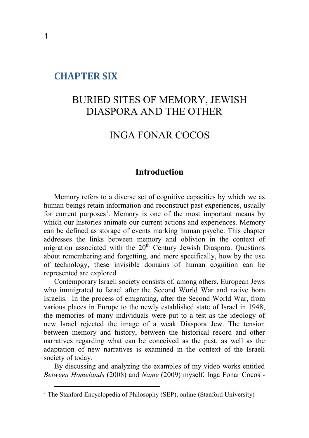## **CHAPTER SIX**

# BURIED SITES OF MEMORY, JEWISH DIASPORA AND THE OTHER

# INGA FONAR COCOS

## **Introduction**

Memory refers to a diverse set of cognitive capacities by which we as human beings retain information and reconstruct past experiences, usually for current purposes<sup>1</sup>. Memory is one of the most important means by which our histories animate our current actions and experiences. Memory can be defined as storage of events marking human psyche. This chapter addresses the links between memory and oblivion in the context of migration associated with the  $20<sup>th</sup>$  Century Jewish Diaspora. Questions about remembering and forgetting, and more specifically, how by the use of technology, these invisible domains of human cognition can be represented are explored.

Contemporary Israeli society consists of, among others, European Jews who immigrated to Israel after the Second World War and native born Israelis. In the process of emigrating, after the Second World War, from various places in Europe to the newly established state of Israel in 1948, the memories of many individuals were put to a test as the ideology of new Israel rejected the image of a weak Diaspora Jew. The tension between memory and history, between the historical record and other narratives regarding what can be conceived as the past, as well as the adaptation of new narratives is examined in the context of the Israeli society of today.

By discussing and analyzing the examples of my video works entitled *Between Homelands* (2008) and *Name* (2009) myself, Inga Fonar Cocos -

<sup>&</sup>lt;sup>1</sup> The Stanford Encyclopedia of Philosophy (SEP), online (Stanford University)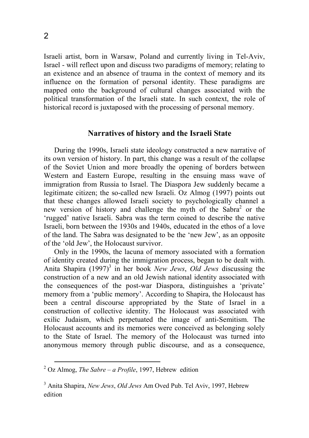Israeli artist, born in Warsaw, Poland and currently living in Tel-Aviv, Israel - will reflect upon and discuss two paradigms of memory; relating to an existence and an absence of trauma in the context of memory and its influence on the formation of personal identity. These paradigms are mapped onto the background of cultural changes associated with the political transformation of the Israeli state. In such context, the role of historical record is juxtaposed with the processing of personal memory.

#### **Narratives of history and the Israeli State**

During the 1990s, Israeli state ideology constructed a new narrative of its own version of history. In part, this change was a result of the collapse of the Soviet Union and more broadly the opening of borders between Western and Eastern Europe, resulting in the ensuing mass wave of immigration from Russia to Israel. The Diaspora Jew suddenly became a legitimate citizen; the so-called new Israeli. Oz Almog (1997) points out that these changes allowed Israeli society to psychologically channel a new version of history and challenge the myth of the Sabra<sup>2</sup> or the 'rugged' native Israeli. Sabra was the term coined to describe the native Israeli, born between the 1930s and 1940s, educated in the ethos of a love of the land. The Sabra was designated to be the 'new Jew', as an opposite of the 'old Jew', the Holocaust survivor.

Only in the 1990s, the lacuna of memory associated with a formation of identity created during the immigration process, began to be dealt with. Anita Shapira (1997)<sup>3</sup> in her book *New Jews*, *Old Jews* discussing the construction of a new and an old Jewish national identity associated with the consequences of the post-war Diaspora, distinguishes a 'private' memory from a 'public memory'. According to Shapira, the Holocaust has been a central discourse appropriated by the State of Israel in a construction of collective identity. The Holocaust was associated with exilic Judaism, which perpetuated the image of anti-Semitism. The Holocaust accounts and its memories were conceived as belonging solely to the State of Israel. The memory of the Holocaust was turned into anonymous memory through public discourse, and as a consequence,

<sup>2</sup> Oz Almog, *The Sabre – a Profile*, 1997, Hebrew edition

<sup>3</sup> Anita Shapira, *New Jews*, *Old Jews* Am Oved Pub. Tel Aviv, 1997, Hebrew edition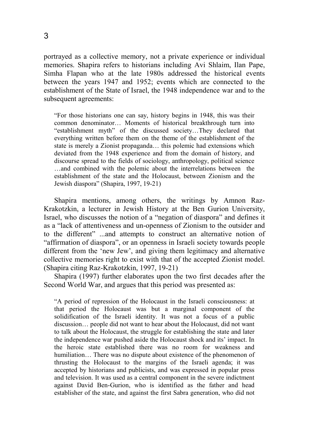portrayed as a collective memory, not a private experience or individual memories. Shapira refers to historians including Avi Shlaim, Ilan Pape, Simha Flapan who at the late 1980s addressed the historical events between the years 1947 and 1952; events which are connected to the establishment of the State of Israel, the 1948 independence war and to the subsequent agreements:

"For those historians one can say, history begins in 1948, this was their common denominator… Moments of historical breakthrough turn into "establishment myth" of the discussed society…They declared that everything written before them on the theme of the establishment of the state is merely a Zionist propaganda… this polemic had extensions which deviated from the 1948 experience and from the domain of history, and discourse spread to the fields of sociology, anthropology, political science …and combined with the polemic about the interrelations between the establishment of the state and the Holocaust, between Zionism and the Jewish diaspora" (Shapira, 1997, 19-21)

Shapira mentions, among others, the writings by Amnon Raz-Krakotzkin, a lecturer in Jewish History at the Ben Gurion University, Israel, who discusses the notion of a "negation of diaspora" and defines it as a "lack of attentiveness and un-openness of Zionism to the outsider and to the different" ...and attempts to construct an alternative notion of "affirmation of diaspora", or an openness in Israeli society towards people different from the 'new Jew', and giving them legitimacy and alternative collective memories right to exist with that of the accepted Zionist model. (Shapira citing Raz-Krakotzkin, 1997, 19-21)

Shapira (1997) further elaborates upon the two first decades after the Second World War, and argues that this period was presented as:

"A period of repression of the Holocaust in the Israeli consciousness: at that period the Holocaust was but a marginal component of the solidification of the Israeli identity. It was not a focus of a public discussion… people did not want to hear about the Holocaust, did not want to talk about the Holocaust, the struggle for establishing the state and later the independence war pushed aside the Holocaust shock and its' impact. In the heroic state established there was no room for weakness and humiliation… There was no dispute about existence of the phenomenon of thrusting the Holocaust to the margins of the Israeli agenda; it was accepted by historians and publicists, and was expressed in popular press and television. It was used as a central component in the severe indictment against David Ben-Gurion, who is identified as the father and head establisher of the state, and against the first Sabra generation, who did not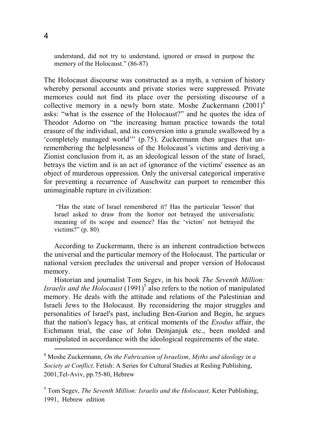understand, did not try to understand, ignored or erased in purpose the memory of the Holocaust." (86-87)

The Holocaust discourse was constructed as a myth, a version of history whereby personal accounts and private stories were suppressed. Private memories could not find its place over the persisting discourse of a collective memory in a newly born state. Moshe Zuckermann (2001)<sup>4</sup> asks: "what is the essence of the Holocaust?" and he quotes the idea of Theodor Adorno on "the increasing human practice towards the total erasure of the individual, and its conversion into a granule swallowed by a 'completely managed world'" (p.75). Zuckermann then argues that unremembering the helplessness of the Holocaust's victims and deriving a Zionist conclusion from it, as an ideological lesson of the state of Israel, betrays the victim and is an act of ignorance of the victims' essence as an object of murderous oppression. Only the universal categorical imperative for preventing a recurrence of Auschwitz can purport to remember this unimaginable rupture in civilization:

 "Has the state of Israel remembered it? Has the particular 'lesson' that Israel asked to draw from the horror not betrayed the universalistic meaning of its scope and essence? Has the 'victim' not betrayed the victims?"  $(p. 80)$ 

According to Zuckermann, there is an inherent contradiction between the universal and the particular memory of the Holocaust. The particular or national version precludes the universal and proper version of Holocaust memory.

Historian and journalist Tom Segev, in his book *The Seventh Million: Israelis and the Holocaust*  $(1991)^5$  also refers to the notion of manipulated memory. He deals with the attitude and relations of the Palestinian and Israeli Jews to the Holocaust. By reconsidering the major struggles and personalities of Israel's past, including Ben-Gurion and Begin, he argues that the nation's legacy has, at critical moments of the *Exodus* affair, the Eichmann trial, the case of John Demjanjuk etc., been molded and manipulated in accordance with the ideological requirements of the state.  $\overline{a}$ 

#### 4

<sup>4</sup> Moshe Zuckermann, *On the Fabrication of Israelism*, *Myths and ideology in a Society at Conflict,* Fetish: A Series for Cultural Studies at Resling Publishing, 2001,Tel-Aviv, pp.75-80, Hebrew

<sup>5</sup> Tom Segev, *The Seventh Million: Israelis and the Holocaust,* Keter Publishing, 1991, Hebrew edition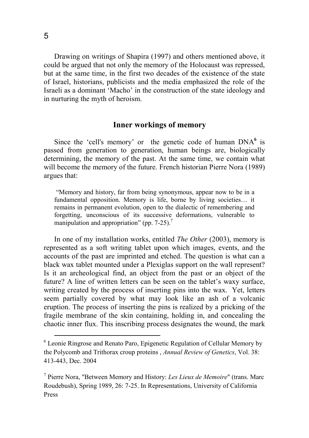Drawing on writings of Shapira (1997) and others mentioned above, it could be argued that not only the memory of the Holocaust was repressed, but at the same time, in the first two decades of the existence of the state of Israel, historians, publicists and the media emphasized the role of the Israeli as a dominant 'Macho' in the construction of the state ideology and in nurturing the myth of heroism.

### **Inner workings of memory**

Since the 'cell's memory' or the genetic code of human DNA<sup>6</sup> is passed from generation to generation, human beings are, biologically determining, the memory of the past. At the same time, we contain what will become the memory of the future. French historian Pierre Nora (1989) argues that:

"Memory and history, far from being synonymous, appear now to be in a fundamental opposition. Memory is life, borne by living societies… it remains in permanent evolution, open to the dialectic of remembering and forgetting, unconscious of its successive deformations, vulnerable to manipulation and appropriation" (pp.  $7-25$ ).<sup>7</sup>

In one of my installation works, entitled *The Other* (2003), memory is represented as a soft writing tablet upon which images, events, and the accounts of the past are imprinted and etched. The question is what can a black wax tablet mounted under a Plexiglas support on the wall represent? Is it an archeological find, an object from the past or an object of the future? A line of written letters can be seen on the tablet's waxy surface, writing created by the process of inserting pins into the wax. Yet, letters seem partially covered by what may look like an ash of a volcanic eruption. The process of inserting the pins is realized by a pricking of the fragile membrane of the skin containing, holding in, and concealing the chaotic inner flux. This inscribing process designates the wound, the mark

<sup>&</sup>lt;sup>6</sup> Leonie Ringrose and Renato Paro, Epigenetic Regulation of Cellular Memory by the Polycomb and Trithorax croup proteins , *Annual Review of Genetics*, Vol. 38: 413-443, Dec. 2004

<sup>7</sup> Pierre Nora, "Between Memory and History: *Les Lieux de Memoire*" (trans. Marc Roudebush), Spring 1989, 26: 7-25. In Representations, University of California Press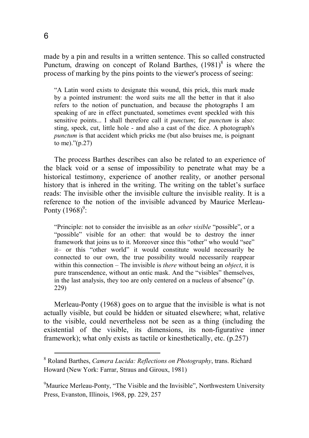made by a pin and results in a written sentence. This so called constructed Punctum, drawing on concept of Roland Barthes,  $(1981)^8$  is where the process of marking by the pins points to the viewer's process of seeing:

"A Latin word exists to designate this wound, this prick, this mark made by a pointed instrument: the word suits me all the better in that it also refers to the notion of punctuation, and because the photographs I am speaking of are in effect punctuated, sometimes event speckled with this sensitive points... I shall therefore call it *punctum*; for *punctum* is also: sting, speck, cut, little hole - and also a cast of the dice. A photograph's *punctum* is that accident which pricks me (but also bruises me, is poignant to me)."(p.27)

The process Barthes describes can also be related to an experience of the black void or a sense of impossibility to penetrate what may be a historical testimony, experience of another reality, or another personal history that is inhered in the writing. The writing on the tablet's surface reads: The invisible other the invisible culture the invisible reality. It is a reference to the notion of the invisible advanced by Maurice Merleau-Ponty  $(1968)^9$ :

"Principle: not to consider the invisible as an *other visible* "possible", or a "possible" visible for an other: that would be to destroy the inner framework that joins us to it. Moreover since this "other" who would "see" it– or this "other world" it would constitute would necessarily be connected to our own, the true possibility would necessarily reappear within this connection – The invisible is *there* without being an *object*, it is pure transcendence, without an ontic mask. And the "visibles" themselves, in the last analysis, they too are only centered on a nucleus of absence" (p. 229)

Merleau-Ponty (1968) goes on to argue that the invisible is what is not actually visible, but could be hidden or situated elsewhere; what, relative to the visible, could nevertheless not be seen as a thing (including the existential of the visible, its dimensions, its non-figurative inner framework); what only exists as tactile or kinesthetically, etc. (p.257)

<sup>8</sup> Roland Barthes, *Camera Lucida: Reflections on Photography*, trans. Richard Howard (New York: Farrar, Straus and Giroux, 1981)

<sup>&</sup>lt;sup>9</sup>Maurice Merleau-Ponty, "The Visible and the Invisible", Northwestern University Press, Evanston, Illinois, 1968, pp. 229, 257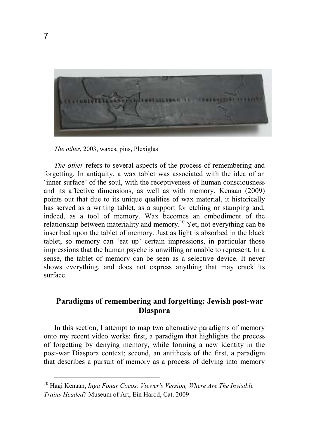

*The other*, 2003, waxes, pins, Plexiglas

*The other* refers to several aspects of the process of remembering and forgetting. In antiquity, a wax tablet was associated with the idea of an 'inner surface' of the soul, with the receptiveness of human consciousness and its affective dimensions, as well as with memory. Kenaan (2009) points out that due to its unique qualities of wax material, it historically has served as a writing tablet, as a support for etching or stamping and, indeed, as a tool of memory. Wax becomes an embodiment of the relationship between materiality and memory.<sup>10</sup> Yet, not everything can be inscribed upon the tablet of memory. Just as light is absorbed in the black tablet, so memory can 'eat up' certain impressions, in particular those impressions that the human psyche is unwilling or unable to represent. In a sense, the tablet of memory can be seen as a selective device. It never shows everything, and does not express anything that may crack its surface.

## **Paradigms of remembering and forgetting: Jewish post-war Diaspora**

In this section, I attempt to map two alternative paradigms of memory onto my recent video works: first, a paradigm that highlights the process of forgetting by denying memory, while forming a new identity in the post-war Diaspora context; second, an antithesis of the first, a paradigm that describes a pursuit of memory as a process of delving into memory

<sup>10</sup> Hagi Kenaan, *Inga Fonar Cocos: Viewer's Version, Where Are The Invisible Trains Headed?* Museum of Art, Ein Harod, Cat. 2009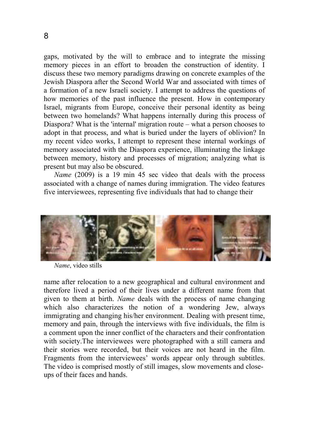gaps, motivated by the will to embrace and to integrate the missing memory pieces in an effort to broaden the construction of identity. I discuss these two memory paradigms drawing on concrete examples of the Jewish Diaspora after the Second World War and associated with times of a formation of a new Israeli society. I attempt to address the questions of how memories of the past influence the present. How in contemporary Israel, migrants from Europe, conceive their personal identity as being between two homelands? What happens internally during this process of Diaspora? What is the 'internal' migration route – what a person chooses to adopt in that process, and what is buried under the layers of oblivion? In my recent video works, I attempt to represent these internal workings of memory associated with the Diaspora experience, illuminating the linkage between memory, history and processes of migration; analyzing what is present but may also be obscured.

*Name* (2009) is a 19 min 45 sec video that deals with the process associated with a change of names during immigration. The video features five interviewees, representing five individuals that had to change their



*Name*, video stills

name after relocation to a new geographical and cultural environment and therefore lived a period of their lives under a different name from that given to them at birth. *Name* deals with the process of name changing which also characterizes the notion of a wondering Jew, always immigrating and changing his/her environment. Dealing with present time, memory and pain, through the interviews with five individuals, the film is a comment upon the inner conflict of the characters and their confrontation with society.The interviewees were photographed with a still camera and their stories were recorded, but their voices are not heard in the film. Fragments from the interviewees' words appear only through subtitles. The video is comprised mostly of still images, slow movements and closeups of their faces and hands.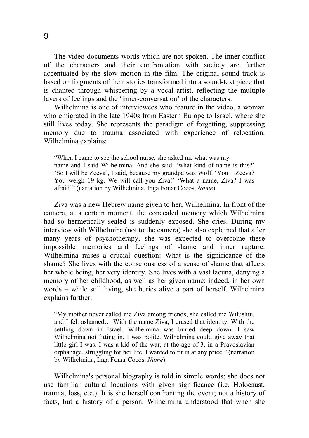The video documents words which are not spoken. The inner conflict of the characters and their confrontation with society are further accentuated by the slow motion in the film. The original sound track is based on fragments of their stories transformed into a sound-text piece that is chanted through whispering by a vocal artist, reflecting the multiple layers of feelings and the 'inner-conversation' of the characters.

Wilhelmina is one of interviewees who feature in the video, a woman who emigrated in the late 1940s from Eastern Europe to Israel, where she still lives today. She represents the paradigm of forgetting, suppressing memory due to trauma associated with experience of relocation. Wilhelmina explains:

"When I came to see the school nurse, she asked me what was my name and I said Wilhelmina. And she said: 'what kind of name is this?' 'So I will be Zeeva', I said, because my grandpa was Wolf. 'You – Zeeva? You weigh 19 kg. We will call you Ziva!' 'What a name, Ziva? I was afraid'" (narration by Wilhelmina, Inga Fonar Cocos, *Name*)

Ziva was a new Hebrew name given to her, Wilhelmina. In front of the camera, at a certain moment, the concealed memory which Wilhelmina had so hermetically sealed is suddenly exposed. She cries. During my interview with Wilhelmina (not to the camera) she also explained that after many years of psychotherapy, she was expected to overcome these impossible memories and feelings of shame and inner rupture. Wilhelmina raises a crucial question: What is the significance of the shame? She lives with the consciousness of a sense of shame that affects her whole being, her very identity. She lives with a vast lacuna, denying a memory of her childhood, as well as her given name; indeed, in her own words – while still living, she buries alive a part of herself. Wilhelmina explains further:

"My mother never called me Ziva among friends, she called me Wilushiu, and I felt ashamed… With the name Ziva, I erased that identity. With the settling down in Israel, Wilhelmina was buried deep down. I saw Wilhelmina not fitting in, I was polite. Wilhelmina could give away that little girl I was. I was a kid of the war, at the age of 3, in a Pravoslavian orphanage, struggling for her life. I wanted to fit in at any price." (narration by Wilhelmina, Inga Fonar Cocos, *Name*)

Wilhelmina's personal biography is told in simple words; she does not use familiar cultural locutions with given significance (i.e. Holocaust, trauma, loss, etc.). It is she herself confronting the event; not a history of facts, but a history of a person. Wilhelmina understood that when she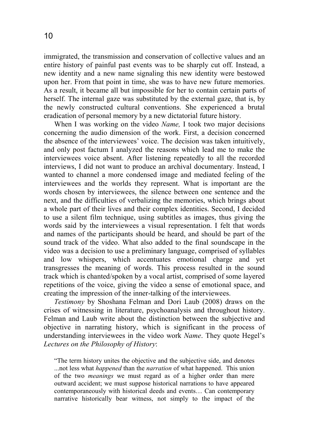immigrated, the transmission and conservation of collective values and an entire history of painful past events was to be sharply cut off. Instead, a new identity and a new name signaling this new identity were bestowed upon her. From that point in time, she was to have new future memories. As a result, it became all but impossible for her to contain certain parts of herself. The internal gaze was substituted by the external gaze, that is, by the newly constructed cultural conventions. She experienced a brutal eradication of personal memory by a new dictatorial future history.

When I was working on the video *Name,* I took two major decisions concerning the audio dimension of the work. First, a decision concerned the absence of the interviewees' voice. The decision was taken intuitively, and only post factum I analyzed the reasons which lead me to make the interviewees voice absent. After listening repeatedly to all the recorded interviews, I did not want to produce an archival documentary. Instead, I wanted to channel a more condensed image and mediated feeling of the interviewees and the worlds they represent. What is important are the words chosen by interviewees, the silence between one sentence and the next, and the difficulties of verbalizing the memories, which brings about a whole part of their lives and their complex identities. Second, I decided to use a silent film technique, using subtitles as images, thus giving the words said by the interviewees a visual representation. I felt that words and names of the participants should be heard, and should be part of the sound track of the video. What also added to the final soundscape in the video was a decision to use a preliminary language, comprised of syllables and low whispers, which accentuates emotional charge and yet transgresses the meaning of words. This process resulted in the sound track which is chanted/spoken by a vocal artist, comprised of some layered repetitions of the voice, giving the video a sense of emotional space, and creating the impression of the inner-talking of the interviewees.

*Testimony* by Shoshana Felman and Dori Laub (2008) draws on the crises of witnessing in literature, psychoanalysis and throughout history. Felman and Laub write about the distinction between the subjective and objective in narrating history, which is significant in the process of understanding interviewees in the video work *Name*. They quote Hegel's *Lectures on the Philosophy of History*:

"The term history unites the objective and the subjective side, and denotes ...not less what *happened* than the *narration* of what happened. This union of the two *meanings* we must regard as of a higher order than mere outward accident; we must suppose historical narrations to have appeared contemporaneously with historical deeds and events… Can contemporary narrative historically bear witness, not simply to the impact of the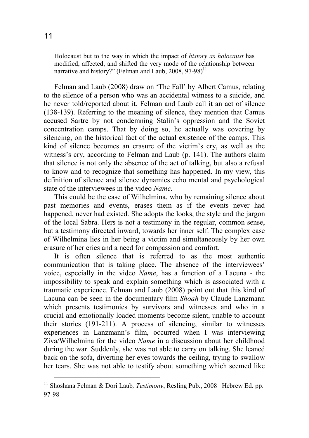Holocaust but to the way in which the impact of *history as holocaust* has modified, affected, and shifted the very mode of the relationship between narrative and history?" (Felman and Laub, 2008, 97-98) $^{11}$ 

Felman and Laub (2008) draw on 'The Fall' by Albert Camus, relating to the silence of a person who was an accidental witness to a suicide, and he never told/reported about it. Felman and Laub call it an act of silence (138-139). Referring to the meaning of silence, they mention that Camus accused Sartre by not condemning Stalin's oppression and the Soviet concentration camps. That by doing so, he actually was covering by silencing, on the historical fact of the actual existence of the camps. This kind of silence becomes an erasure of the victim's cry, as well as the witness's cry, according to Felman and Laub (p. 141). The authors claim that silence is not only the absence of the act of talking, but also a refusal to know and to recognize that something has happened. In my view, this definition of silence and silence dynamics echo mental and psychological state of the interviewees in the video *Name*.

This could be the case of Wilhelmina, who by remaining silence about past memories and events, erases them as if the events never had happened, never had existed. She adopts the looks, the style and the jargon of the local Sabra. Hers is not a testimony in the regular, common sense, but a testimony directed inward, towards her inner self. The complex case of Wilhelmina lies in her being a victim and simultaneously by her own erasure of her cries and a need for compassion and comfort.

It is often silence that is referred to as the most authentic communication that is taking place. The absence of the interviewees' voice, especially in the video *Name*, has a function of a Lacuna - the impossibility to speak and explain something which is associated with a traumatic experience. Felman and Laub (2008) point out that this kind of Lacuna can be seen in the documentary film *Shoah* by Claude Lanzmann which presents testimonies by survivors and witnesses and who in a crucial and emotionally loaded moments become silent, unable to account their stories (191-211). A process of silencing, similar to witnesses experiences in Lanzmann's film, occurred when I was interviewing Ziva/Wilhelmina for the video *Name* in a discussion about her childhood during the war. Suddenly, she was not able to carry on talking. She leaned back on the sofa, diverting her eyes towards the ceiling, trying to swallow her tears. She was not able to testify about something which seemed like

<sup>&</sup>lt;sup>11</sup> Shoshana Felman & Dori Laub, *Testimony*, Resling Pub., 2008 Hebrew Ed. pp. 97-98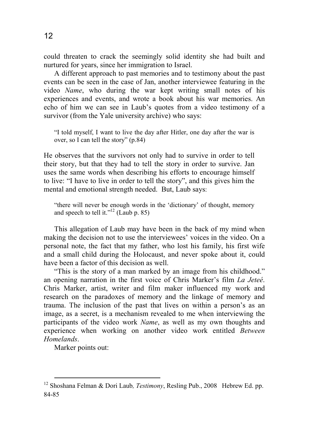could threaten to crack the seemingly solid identity she had built and nurtured for years, since her immigration to Israel.

A different approach to past memories and to testimony about the past events can be seen in the case of Jan, another interviewee featuring in the video *Name*, who during the war kept writing small notes of his experiences and events, and wrote a book about his war memories. An echo of him we can see in Laub's quotes from a video testimony of a survivor (from the Yale university archive) who says:

"I told myself, I want to live the day after Hitler, one day after the war is over, so I can tell the story" (p.84)

He observes that the survivors not only had to survive in order to tell their story, but that they had to tell the story in order to survive. Jan uses the same words when describing his efforts to encourage himself to live: "I have to live in order to tell the story", and this gives him the mental and emotional strength needed. But, Laub says:

"there will never be enough words in the 'dictionary' of thought, memory and speech to tell it."<sup>12</sup> (Laub p. 85)

This allegation of Laub may have been in the back of my mind when making the decision not to use the interviewees' voices in the video. On a personal note, the fact that my father, who lost his family, his first wife and a small child during the Holocaust, and never spoke about it, could have been a factor of this decision as well.

"This is the story of a man marked by an image from his childhood." an opening narration in the first voice of Chris Marker's film *La Jeteé*. Chris Marker, artist, writer and film maker influenced my work and research on the paradoxes of memory and the linkage of memory and trauma. The inclusion of the past that lives on within a person's as an image, as a secret, is a mechanism revealed to me when interviewing the participants of the video work *Name*, as well as my own thoughts and experience when working on another video work entitled *Between Homelands*.

Marker points out:

<sup>12</sup> Shoshana Felman & Dori Laub*, Testimony*, Resling Pub., 2008 Hebrew Ed. pp. 84-85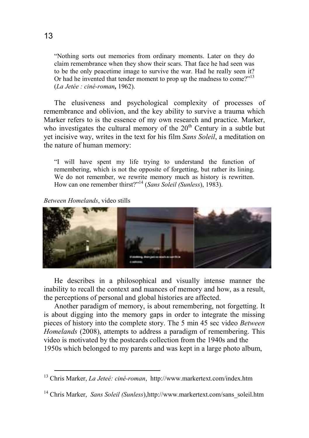"Nothing sorts out memories from ordinary moments. Later on they do claim remembrance when they show their scars. That face he had seen was to be the only peacetime image to survive the war. Had he really seen it? Or had he invented that tender moment to prop up the madness to come?"<sup>13</sup> (*La Jetée : ciné-roman,* 1962).

The elusiveness and psychological complexity of processes of remembrance and oblivion, and the key ability to survive a trauma which Marker refers to is the essence of my own research and practice. Marker, who investigates the cultural memory of the  $20<sup>th</sup>$  Century in a subtle but yet incisive way, writes in the text for his film *Sans Soleil*, a meditation on the nature of human memory:

"I will have spent my life trying to understand the function of remembering, which is not the opposite of forgetting, but rather its lining. We do not remember, we rewrite memory much as history is rewritten. How can one remember thirst?"<sup>14</sup> (*Sans Soleil (Sunless*), 1983).

*Between Homelands*, video stills

 $\overline{a}$ 



He describes in a philosophical and visually intense manner the inability to recall the context and nuances of memory and how, as a result, the perceptions of personal and global histories are affected.

Another paradigm of memory, is about remembering, not forgetting. It is about digging into the memory gaps in order to integrate the missing pieces of history into the complete story. The 5 min 45 sec video *Between Homelands* (2008), attempts to address a paradigm of remembering. This video is motivated by the postcards collection from the 1940s and the 1950s which belonged to my parents and was kept in a large photo album,

<sup>13</sup> Chris Marker, *La Jeteé: ciné-roman*, http://www.markertext.com/index.htm

<sup>&</sup>lt;sup>14</sup> Chris Marker, *Sans Soleil (Sunless)*,http://www.markertext.com/sans\_soleil.htm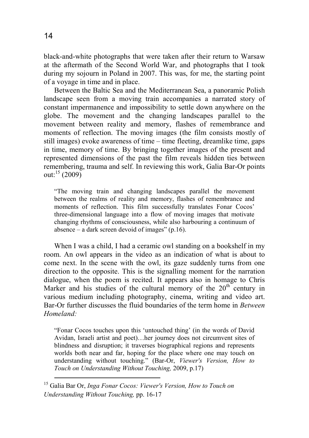black-and-white photographs that were taken after their return to Warsaw at the aftermath of the Second World War, and photographs that I took during my sojourn in Poland in 2007. This was, for me, the starting point of a voyage in time and in place.

Between the Baltic Sea and the Mediterranean Sea, a panoramic Polish landscape seen from a moving train accompanies a narrated story of constant impermanence and impossibility to settle down anywhere on the globe. The movement and the changing landscapes parallel to the movement between reality and memory, flashes of remembrance and moments of reflection. The moving images (the film consists mostly of still images) evoke awareness of time – time fleeting, dreamlike time, gaps in time, memory of time. By bringing together images of the present and represented dimensions of the past the film reveals hidden ties between remembering, trauma and self. In reviewing this work, Galia Bar-Or points out:<sup>15</sup> (2009)

"The moving train and changing landscapes parallel the movement between the realms of reality and memory, flashes of remembrance and moments of reflection. This film successfully translates Fonar Cocos' three-dimensional language into a flow of moving images that motivate changing rhythms of consciousness, while also harbouring a continuum of absence – a dark screen devoid of images"  $(p.16)$ .

When I was a child, I had a ceramic owl standing on a bookshelf in my room. An owl appears in the video as an indication of what is about to come next. In the scene with the owl, its gaze suddenly turns from one direction to the opposite. This is the signalling moment for the narration dialogue, when the poem is recited. It appears also in homage to Chris Marker and his studies of the cultural memory of the  $20<sup>th</sup>$  century in various medium including photography, cinema, writing and video art. Bar-Or further discusses the fluid boundaries of the term home in *Between Homeland:*

"Fonar Cocos touches upon this 'untouched thing' (in the words of David Avidan, Israeli artist and poet)…her journey does not circumvent sites of blindness and disruption; it traverses biographical regions and represents worlds both near and far, hoping for the place where one may touch on understanding without touching." (Bar-Or, *Viewer's Version, How to Touch on Understanding Without Touching,* 2009, p.17) l

<sup>15</sup> Galia Bar Or, *Inga Fonar Cocos: Viewer's Version, How to Touch on Understanding Without Touching,* pp. 16-17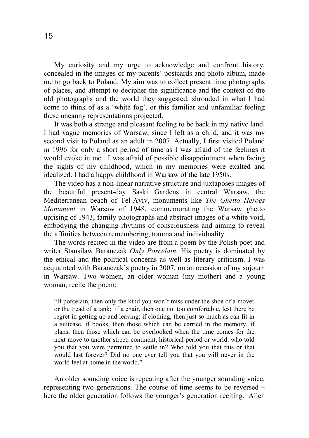My curiosity and my urge to acknowledge and confront history, concealed in the images of my parents' postcards and photo album, made me to go back to Poland. My aim was to collect present time photographs of places, and attempt to decipher the significance and the context of the old photographs and the world they suggested, shrouded in what I had come to think of as a 'white fog', or this familiar and unfamiliar feeling these uncanny representations projected.

It was both a strange and pleasant feeling to be back in my native land. I had vague memories of Warsaw, since I left as a child, and it was my second visit to Poland as an adult in 2007. Actually, I first visited Poland in 1996 for only a short period of time as I was afraid of the feelings it would evoke in me. I was afraid of possible disappointment when facing the sights of my childhood, which in my memories were exalted and idealized. I had a happy childhood in Warsaw of the late 1950s.

The video has a non-linear narrative structure and juxtaposes images of the beautiful present-day Saski Gardens in central Warsaw, the Mediterranean beach of Tel-Aviv, monuments like *The Ghetto Heroes Monument* in Warsaw of 1948, commemorating the Warsaw ghetto uprising of 1943, family photographs and abstract images of a white void, embodying the changing rhythms of consciousness and aiming to reveal the affinities between remembering, trauma and individuality.

The words recited in the video are from a poem by the Polish poet and writer Stansilaw Baranczak *Only Porcelain*. His poetry is dominated by the ethical and the political concerns as well as literary criticism. I was acquainted with Baranczak's poetry in 2007, on an occasion of my sojourn in Warsaw. Two women, an older woman (my mother) and a young woman, recite the poem:

"If porcelain, then only the kind you won't miss under the shoe of a mover or the tread of a tank; if a chair, then one not too comfortable, lest there be regret in getting up and leaving; if clothing, then just so much as can fit in a suitcase, if books, then those which can be carried in the memory, if plans, then those which can be overlooked when the time comes for the next move to another street, continent, historical period or world: who told you that you were permitted to settle in? Who told you that this or that would last forever? Did no one ever tell you that you will never in the world feel at home in the world."

An older sounding voice is repeating after the younger sounding voice, representing two generations. The course of time seems to be reversed – here the older generation follows the younger's generation reciting. Allen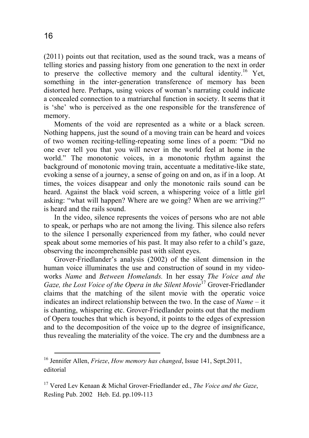(2011) points out that recitation, used as the sound track, was a means of telling stories and passing history from one generation to the next in order to preserve the collective memory and the cultural identity.<sup>16</sup> Yet, something in the inter-generation transference of memory has been distorted here. Perhaps, using voices of woman's narrating could indicate a concealed connection to a matriarchal function in society. It seems that it is 'she' who is perceived as the one responsible for the transference of memory.

Moments of the void are represented as a white or a black screen. Nothing happens, just the sound of a moving train can be heard and voices of two women reciting-telling-repeating some lines of a poem: "Did no one ever tell you that you will never in the world feel at home in the world." The monotonic voices, in a monotonic rhythm against the background of monotonic moving train, accentuate a meditative-like state, evoking a sense of a journey, a sense of going on and on, as if in a loop. At times, the voices disappear and only the monotonic rails sound can be heard. Against the black void screen, a whispering voice of a little girl asking: "what will happen? Where are we going? When are we arriving?" is heard and the rails sound.

In the video, silence represents the voices of persons who are not able to speak, or perhaps who are not among the living. This silence also refers to the silence I personally experienced from my father, who could never speak about some memories of his past. It may also refer to a child's gaze, observing the incomprehensible past with silent eyes.

Grover-Friedlander's analysis (2002) of the silent dimension in the human voice illuminates the use and construction of sound in my videoworks *Name* and *Between Homelands.* In her essay *The Voice and the Gaze, the Lost Voice of the Opera in the Silent Movie*<sup>17</sup> Grover-Friedlander claims that the matching of the silent movie with the operatic voice indicates an indirect relationship between the two. In the case of *Name* – it is chanting, whispering etc. Grover-Friedlander points out that the medium of Opera touches that which is beyond, it points to the edges of expression and to the decomposition of the voice up to the degree of insignificance, thus revealing the materiality of the voice. The cry and the dumbness are a

<sup>16</sup> Jennifer Allen, *Frieze*, *How memory has changed*, Issue 141, Sept.2011, editorial

<sup>17</sup> Vered Lev Kenaan & Michal Grover-Friedlander ed., *The Voice and the Gaze*, Resling Pub. 2002 Heb. Ed. pp.109-113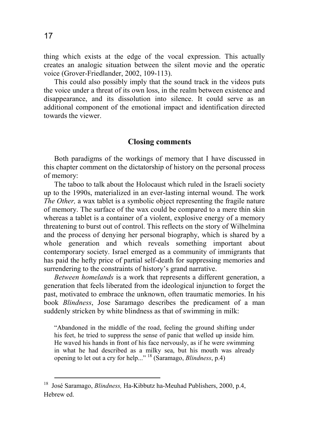thing which exists at the edge of the vocal expression. This actually creates an analogic situation between the silent movie and the operatic voice (Grover-Friedlander, 2002, 109-113).

This could also possibly imply that the sound track in the videos puts the voice under a threat of its own loss, in the realm between existence and disappearance, and its dissolution into silence. It could serve as an additional component of the emotional impact and identification directed towards the viewer.

### **Closing comments**

Both paradigms of the workings of memory that I have discussed in this chapter comment on the dictatorship of history on the personal process of memory:

The taboo to talk about the Holocaust which ruled in the Israeli society up to the 1990s, materialized in an ever-lasting internal wound. The work *The Other,* a wax tablet is a symbolic object representing the fragile nature of memory. The surface of the wax could be compared to a mere thin skin whereas a tablet is a container of a violent, explosive energy of a memory threatening to burst out of control. This reflects on the story of Wilhelmina and the process of denying her personal biography, which is shared by a whole generation and which reveals something important about contemporary society. Israel emerged as a community of immigrants that has paid the hefty price of partial self-death for suppressing memories and surrendering to the constraints of history's grand narrative.

*Between homelands* is a work that represents a different generation, a generation that feels liberated from the ideological injunction to forget the past, motivated to embrace the unknown, often traumatic memories. In his book *Blindness*, Jose Saramago describes the predicament of a man suddenly stricken by white blindness as that of swimming in milk:

"Abandoned in the middle of the road, feeling the ground shifting under his feet, he tried to suppress the sense of panic that welled up inside him. He waved his hands in front of his face nervously, as if he were swimming in what he had described as a milky sea, but his mouth was already opening to let out a cry for help..." <sup>18</sup> (Saramago, *Blindness*, p.4)

<sup>18</sup> José Saramago, *Blindness,* Ha-Kibbutz ha-Meuhad Publishers, 2000, p.4, Hebrew ed.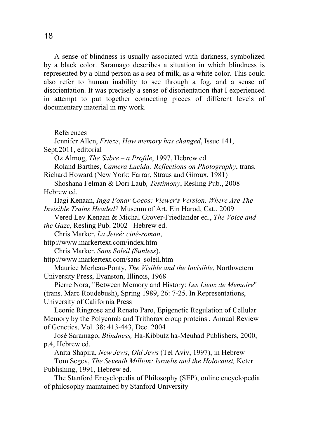A sense of blindness is usually associated with darkness, symbolized by a black color. Saramago describes a situation in which blindness is represented by a blind person as a sea of milk, as a white color. This could also refer to human inability to see through a fog, and a sense of disorientation. It was precisely a sense of disorientation that I experienced in attempt to put together connecting pieces of different levels of documentary material in my work.

References

Jennifer Allen, *Frieze*, *How memory has changed*, Issue 141, Sept.2011, editorial

Oz Almog, *The Sabre – a Profile*, 1997, Hebrew ed.

Roland Barthes, *Camera Lucida: Reflections on Photography*, trans. Richard Howard (New York: Farrar, Straus and Giroux, 1981)

Shoshana Felman & Dori Laub*, Testimony*, Resling Pub., 2008 Hebrew ed.

Hagi Kenaan, *Inga Fonar Cocos: Viewer's Version, Where Are The Invisible Trains Headed?* Museum of Art, Ein Harod, Cat., 2009

Vered Lev Kenaan & Michal Grover-Friedlander ed., *The Voice and the Gaze*, Resling Pub. 2002 Hebrew ed.

Chris Marker, *La Jeteé: ciné-roman*,

http://www.markertext.com/index.htm

Chris Marker, *Sans Soleil (Sunless*),

http://www.markertext.com/sans\_soleil.htm

Maurice Merleau-Ponty, *The Visible and the Invisible*, Northwetern University Press, Evanston, Illinois, 1968

Pierre Nora, "Between Memory and History: *Les Lieux de Memoire*" (trans. Marc Roudebush), Spring 1989, 26: 7-25. In Representations, University of California Press

Leonie Ringrose and Renato Paro, Epigenetic Regulation of Cellular Memory by the Polycomb and Trithorax croup proteins , Annual Review of Genetics, Vol. 38: 413-443, Dec. 2004

José Saramago, *Blindness,* Ha-Kibbutz ha-Meuhad Publishers, 2000, p.4, Hebrew ed.

Anita Shapira, *New Jews*, *Old Jews* (Tel Aviv, 1997), in Hebrew Tom Segev, *The Seventh Million: Israelis and the Holocaust,* Keter Publishing, 1991, Hebrew ed.

The Stanford Encyclopedia of Philosophy (SEP), online encyclopedia of philosophy maintained by Stanford University